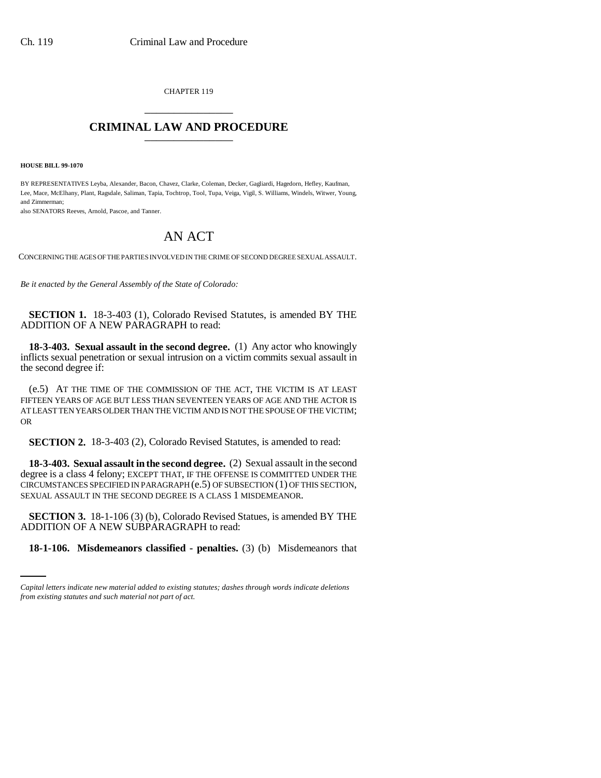CHAPTER 119 \_\_\_\_\_\_\_\_\_\_\_\_\_\_\_

## **CRIMINAL LAW AND PROCEDURE** \_\_\_\_\_\_\_\_\_\_\_\_\_\_\_

**HOUSE BILL 99-1070** 

BY REPRESENTATIVES Leyba, Alexander, Bacon, Chavez, Clarke, Coleman, Decker, Gagliardi, Hagedorn, Hefley, Kaufman, Lee, Mace, McElhany, Plant, Ragsdale, Saliman, Tapia, Tochtrop, Tool, Tupa, Veiga, Vigil, S. Williams, Windels, Witwer, Young, and Zimmerman;

also SENATORS Reeves, Arnold, Pascoe, and Tanner.

## AN ACT

CONCERNING THE AGES OF THE PARTIES INVOLVED IN THE CRIME OF SECOND DEGREE SEXUAL ASSAULT.

*Be it enacted by the General Assembly of the State of Colorado:*

**SECTION 1.** 18-3-403 (1), Colorado Revised Statutes, is amended BY THE ADDITION OF A NEW PARAGRAPH to read:

**18-3-403. Sexual assault in the second degree.** (1) Any actor who knowingly inflicts sexual penetration or sexual intrusion on a victim commits sexual assault in the second degree if:

(e.5) AT THE TIME OF THE COMMISSION OF THE ACT, THE VICTIM IS AT LEAST FIFTEEN YEARS OF AGE BUT LESS THAN SEVENTEEN YEARS OF AGE AND THE ACTOR IS AT LEAST TEN YEARS OLDER THAN THE VICTIM AND IS NOT THE SPOUSE OF THE VICTIM; OR

**SECTION 2.** 18-3-403 (2), Colorado Revised Statutes, is amended to read:

**18-3-403. Sexual assault in the second degree.** (2) Sexual assault in the second degree is a class 4 felony; EXCEPT THAT, IF THE OFFENSE IS COMMITTED UNDER THE CIRCUMSTANCES SPECIFIED IN PARAGRAPH (e.5) OF SUBSECTION (1) OF THIS SECTION, SEXUAL ASSAULT IN THE SECOND DEGREE IS A CLASS 1 MISDEMEANOR.

ADDITION OF A NEW SUBPARAGRAPH to read: **SECTION 3.** 18-1-106 (3) (b), Colorado Revised Statues, is amended BY THE

**18-1-106. Misdemeanors classified - penalties.** (3) (b) Misdemeanors that

*Capital letters indicate new material added to existing statutes; dashes through words indicate deletions from existing statutes and such material not part of act.*